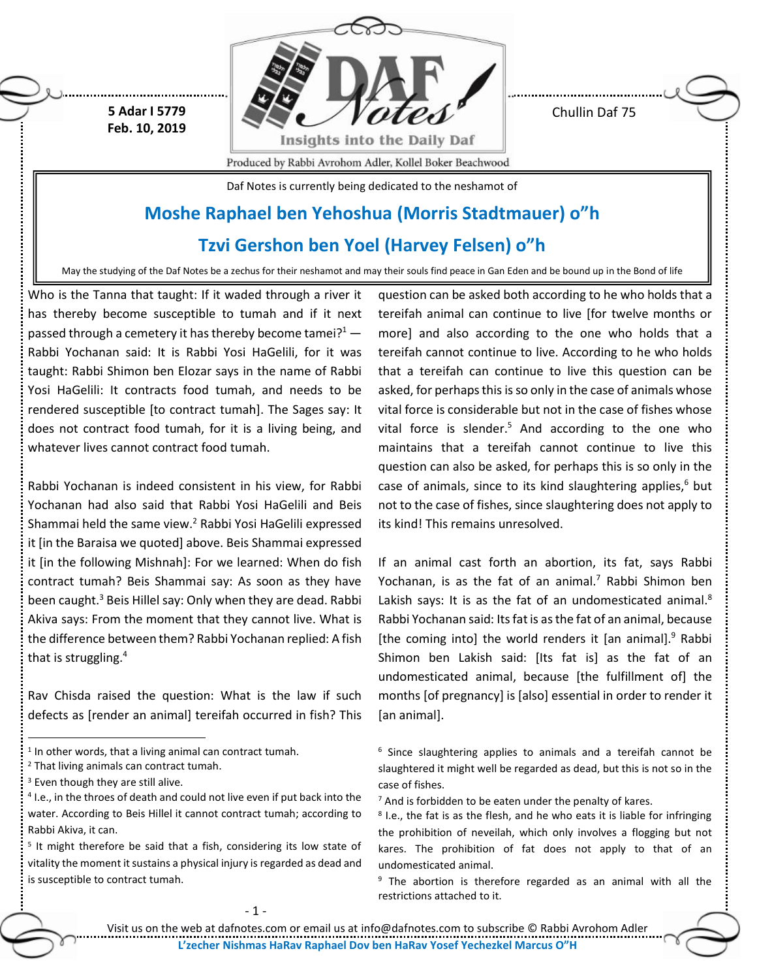**5 Adar I 5779 Feb. 10, 2019**



Chullin Daf 75

Produced by Rabbi Avrohom Adler, Kollel Boker Beachwood

Daf Notes is currently being dedicated to the neshamot of

## **Moshe Raphael ben Yehoshua (Morris Stadtmauer) o"h**

## **Tzvi Gershon ben Yoel (Harvey Felsen) o"h**

May the studying of the Daf Notes be a zechus for their neshamot and may their souls find peace in Gan Eden and be bound up in the Bond of life

Who is the Tanna that taught: If it waded through a river it has thereby become susceptible to tumah and if it next passed through a cemetery it has thereby become tamei?<sup>1</sup>  $-$ Rabbi Yochanan said: It is Rabbi Yosi HaGelili, for it was taught: Rabbi Shimon ben Elozar says in the name of Rabbi Yosi HaGelili: It contracts food tumah, and needs to be rendered susceptible [to contract tumah]. The Sages say: It does not contract food tumah, for it is a living being, and whatever lives cannot contract food tumah.

Rabbi Yochanan is indeed consistent in his view, for Rabbi Yochanan had also said that Rabbi Yosi HaGelili and Beis Shammai held the same view.<sup>2</sup> Rabbi Yosi HaGelili expressed it [in the Baraisa we quoted] above. Beis Shammai expressed it [in the following Mishnah]: For we learned: When do fish contract tumah? Beis Shammai say: As soon as they have been caught.<sup>3</sup> Beis Hillel say: Only when they are dead. Rabbi Akiva says: From the moment that they cannot live. What is the difference between them? Rabbi Yochanan replied: A fish that is struggling.<sup>4</sup>

Rav Chisda raised the question: What is the law if such defects as [render an animal] tereifah occurred in fish? This

l

question can be asked both according to he who holds that a tereifah animal can continue to live [for twelve months or more] and also according to the one who holds that a tereifah cannot continue to live. According to he who holds that a tereifah can continue to live this question can be asked, for perhaps this is so only in the case of animals whose vital force is considerable but not in the case of fishes whose vital force is slender.<sup>5</sup> And according to the one who maintains that a tereifah cannot continue to live this question can also be asked, for perhaps this is so only in the case of animals, since to its kind slaughtering applies, $6$  but not to the case of fishes, since slaughtering does not apply to its kind! This remains unresolved.

If an animal cast forth an abortion, its fat, says Rabbi Yochanan, is as the fat of an animal.<sup>7</sup> Rabbi Shimon ben Lakish says: It is as the fat of an undomesticated animal.<sup>8</sup> Rabbi Yochanan said: Itsfat is as the fat of an animal, because [the coming into] the world renders it [an animal]. $9$  Rabbi Shimon ben Lakish said: [Its fat is] as the fat of an undomesticated animal, because [the fulfillment of] the months [of pregnancy] is [also] essential in order to render it [an animal].

<sup>&</sup>lt;sup>1</sup> In other words, that a living animal can contract tumah.

<sup>2</sup> That living animals can contract tumah.

<sup>&</sup>lt;sup>3</sup> Even though they are still alive.

<sup>4</sup> I.e., in the throes of death and could not live even if put back into the water. According to Beis Hillel it cannot contract tumah; according to Rabbi Akiva, it can.

<sup>&</sup>lt;sup>5</sup> It might therefore be said that a fish, considering its low state of vitality the moment it sustains a physical injury is regarded as dead and is susceptible to contract tumah.

<sup>&</sup>lt;sup>6</sup> Since slaughtering applies to animals and a tereifah cannot be slaughtered it might well be regarded as dead, but this is not so in the case of fishes.

 $7$  And is forbidden to be eaten under the penalty of kares.

<sup>&</sup>lt;sup>8</sup> I.e., the fat is as the flesh, and he who eats it is liable for infringing the prohibition of neveilah, which only involves a flogging but not kares. The prohibition of fat does not apply to that of an undomesticated animal.

<sup>&</sup>lt;sup>9</sup> The abortion is therefore regarded as an animal with all the restrictions attached to it.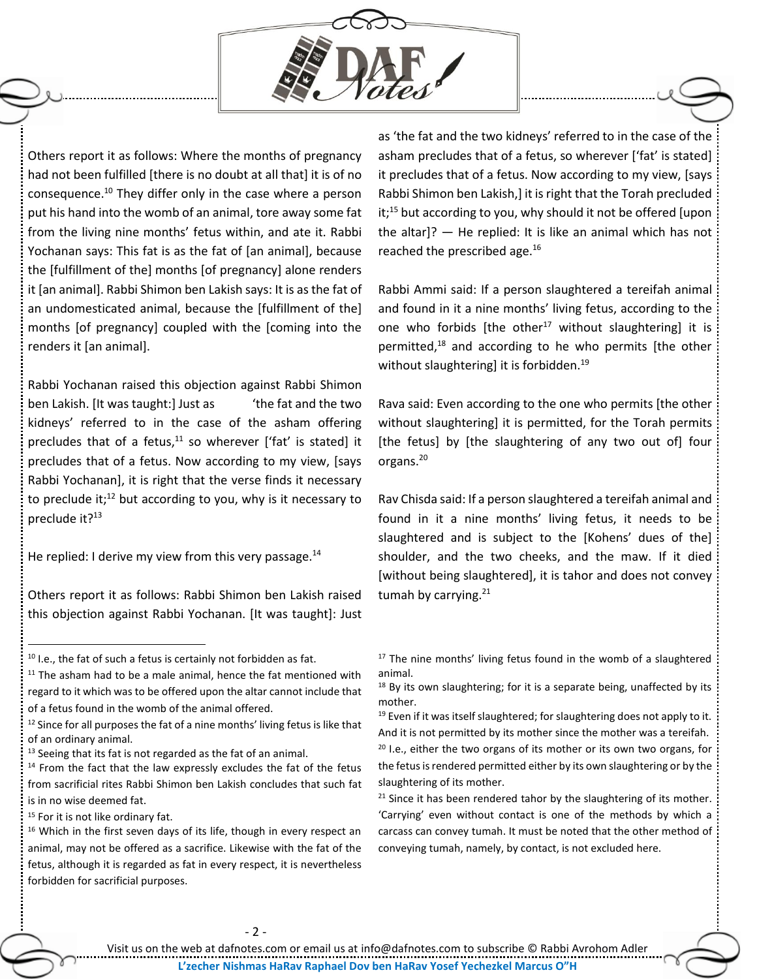

Others report it as follows: Where the months of pregnancy had not been fulfilled [there is no doubt at all that] it is of no consequence.<sup>10</sup> They differ only in the case where a person put his hand into the womb of an animal, tore away some fat from the living nine months' fetus within, and ate it. Rabbi Yochanan says: This fat is as the fat of [an animal], because the [fulfillment of the] months [of pregnancy] alone renders it [an animal]. Rabbi Shimon ben Lakish says: It is as the fat of an undomesticated animal, because the [fulfillment of the] months [of pregnancy] coupled with the [coming into the renders it [an animal].

Rabbi Yochanan raised this objection against Rabbi Shimon ben Lakish. [It was taught:] Just as 'the fat and the two kidneys' referred to in the case of the asham offering precludes that of a fetus,<sup>11</sup> so wherever ['fat' is stated] it precludes that of a fetus. Now according to my view, [says Rabbi Yochanan], it is right that the verse finds it necessary to preclude it;<sup>12</sup> but according to you, why is it necessary to preclude  $it?$ <sup>13</sup>

He replied: I derive my view from this very passage. $^{14}$ 

Others report it as follows: Rabbi Shimon ben Lakish raised this objection against Rabbi Yochanan. [It was taught]: Just

l

as 'the fat and the two kidneys' referred to in the case of the asham precludes that of a fetus, so wherever ['fat' is stated] it precludes that of a fetus. Now according to my view, [says Rabbi Shimon ben Lakish,] it is right that the Torah precluded it;<sup>15</sup> but according to you, why should it not be offered [upon] the altar]? — He replied: It is like an animal which has not reached the prescribed age.<sup>16</sup>

Rabbi Ammi said: If a person slaughtered a tereifah animal and found in it a nine months' living fetus, according to the one who forbids [the other<sup>17</sup> without slaughtering] it is permitted,<sup>18</sup> and according to he who permits [the other without slaughtering] it is forbidden.<sup>19</sup>

Rava said: Even according to the one who permits [the other without slaughtering] it is permitted, for the Torah permits [the fetus] by [the slaughtering of any two out of] four organs.<sup>20</sup>

Rav Chisda said: If a person slaughtered a tereifah animal and found in it a nine months' living fetus, it needs to be slaughtered and is subject to the [Kohens' dues of the] shoulder, and the two cheeks, and the maw. If it died [without being slaughtered], it is tahor and does not convey tumah by carrying. $21$ 

<sup>18</sup> By its own slaughtering; for it is a separate being, unaffected by its mother.

 $10$  I.e., the fat of such a fetus is certainly not forbidden as fat.

 $11$  The asham had to be a male animal, hence the fat mentioned with regard to it which was to be offered upon the altar cannot include that of a fetus found in the womb of the animal offered.

 $12$  Since for all purposes the fat of a nine months' living fetus is like that of an ordinary animal.

<sup>&</sup>lt;sup>13</sup> Seeing that its fat is not regarded as the fat of an animal.

 $14$  From the fact that the law expressly excludes the fat of the fetus from sacrificial rites Rabbi Shimon ben Lakish concludes that such fat is in no wise deemed fat.

<sup>&</sup>lt;sup>15</sup> For it is not like ordinary fat.

<sup>&</sup>lt;sup>16</sup> Which in the first seven days of its life, though in every respect an animal, may not be offered as a sacrifice. Likewise with the fat of the fetus, although it is regarded as fat in every respect, it is nevertheless forbidden for sacrificial purposes.

 $17$  The nine months' living fetus found in the womb of a slaughtered animal.

<sup>&</sup>lt;sup>19</sup> Even if it was itself slaughtered; for slaughtering does not apply to it. And it is not permitted by its mother since the mother was a tereifah.  $20$  I.e., either the two organs of its mother or its own two organs, for the fetus is rendered permitted either by its own slaughtering or by the slaughtering of its mother.

 $21$  Since it has been rendered tahor by the slaughtering of its mother. 'Carrying' even without contact is one of the methods by which a carcass can convey tumah. It must be noted that the other method of conveying tumah, namely, by contact, is not excluded here.

Visit us on the web at dafnotes.com or email us at [info@dafnotes.com](mailto:info@dafnotes.com) to subscribe © Rabbi Avrohom Adler **L'zecher Nishmas HaRav Raphael Dov ben HaRav Yosef Yechezkel Marcus O"H**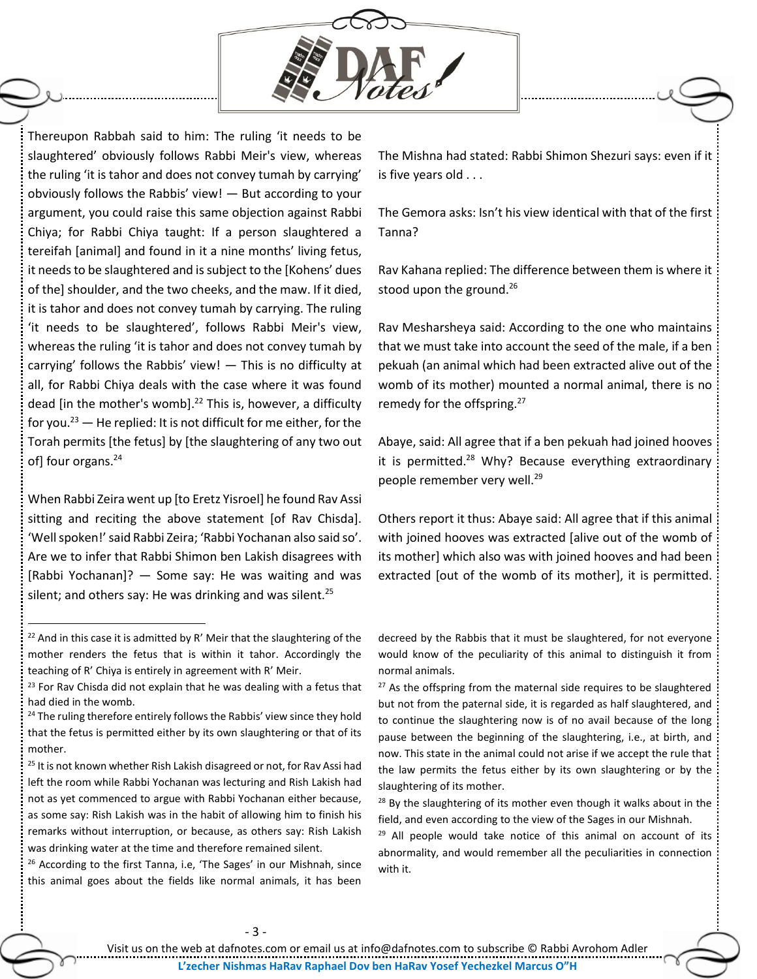

Thereupon Rabbah said to him: The ruling 'it needs to be slaughtered' obviously follows Rabbi Meir's view, whereas the ruling 'it is tahor and does not convey tumah by carrying' obviously follows the Rabbis' view! — But according to your argument, you could raise this same objection against Rabbi Chiya; for Rabbi Chiya taught: If a person slaughtered a tereifah [animal] and found in it a nine months' living fetus, it needs to be slaughtered and is subject to the [Kohens' dues of the] shoulder, and the two cheeks, and the maw. If it died, it is tahor and does not convey tumah by carrying. The ruling 'it needs to be slaughtered', follows Rabbi Meir's view, whereas the ruling 'it is tahor and does not convey tumah by carrying' follows the Rabbis' view! — This is no difficulty at all, for Rabbi Chiya deals with the case where it was found dead [in the mother's womb].<sup>22</sup> This is, however, a difficulty for you.<sup>23</sup>  $-$  He replied: It is not difficult for me either, for the Torah permits [the fetus] by [the slaughtering of any two out of] four organs.<sup>24</sup>

When Rabbi Zeira went up [to Eretz Yisroel] he found Rav Assi sitting and reciting the above statement [of Rav Chisda]. 'Well spoken!' said Rabbi Zeira; 'Rabbi Yochanan also said so'. Are we to infer that Rabbi Shimon ben Lakish disagrees with [Rabbi Yochanan]? — Some say: He was waiting and was silent; and others say: He was drinking and was silent.<sup>25</sup>

 $\overline{\phantom{a}}$ 

<sup>26</sup> According to the first Tanna, i.e, 'The Sages' in our Mishnah, since this animal goes about the fields like normal animals, it has been

The Mishna had stated: Rabbi Shimon Shezuri says: even if it is five years old . . .

The Gemora asks: Isn't his view identical with that of the first Tanna?

Rav Kahana replied: The difference between them is where it stood upon the ground.<sup>26</sup>

Rav Mesharsheya said: According to the one who maintains that we must take into account the seed of the male, if a ben pekuah (an animal which had been extracted alive out of the womb of its mother) mounted a normal animal, there is no remedy for the offspring.<sup>27</sup>

Abaye, said: All agree that if a ben pekuah had joined hooves it is permitted. $28$  Why? Because everything extraordinary people remember very well.<sup>29</sup>

Others report it thus: Abaye said: All agree that if this animal with joined hooves was extracted [alive out of the womb of its mother] which also was with joined hooves and had been extracted [out of the womb of its mother], it is permitted.

decreed by the Rabbis that it must be slaughtered, for not everyone would know of the peculiarity of this animal to distinguish it from normal animals.

 $22$  And in this case it is admitted by R' Meir that the slaughtering of the mother renders the fetus that is within it tahor. Accordingly the teaching of R' Chiya is entirely in agreement with R' Meir.

<sup>&</sup>lt;sup>23</sup> For Rav Chisda did not explain that he was dealing with a fetus that had died in the womb.

<sup>&</sup>lt;sup>24</sup> The ruling therefore entirely follows the Rabbis' view since they hold that the fetus is permitted either by its own slaughtering or that of its mother.

<sup>&</sup>lt;sup>25</sup> It is not known whether Rish Lakish disagreed or not, for Rav Assi had left the room while Rabbi Yochanan was lecturing and Rish Lakish had not as yet commenced to argue with Rabbi Yochanan either because, as some say: Rish Lakish was in the habit of allowing him to finish his remarks without interruption, or because, as others say: Rish Lakish was drinking water at the time and therefore remained silent.

 $27$  As the offspring from the maternal side requires to be slaughtered but not from the paternal side, it is regarded as half slaughtered, and to continue the slaughtering now is of no avail because of the long pause between the beginning of the slaughtering, i.e., at birth, and now. This state in the animal could not arise if we accept the rule that the law permits the fetus either by its own slaughtering or by the slaughtering of its mother.

<sup>&</sup>lt;sup>28</sup> By the slaughtering of its mother even though it walks about in the field, and even according to the view of the Sages in our Mishnah.

<sup>&</sup>lt;sup>29</sup> All people would take notice of this animal on account of its abnormality, and would remember all the peculiarities in connection with it.

Visit us on the web at dafnotes.com or email us at [info@dafnotes.com](mailto:info@dafnotes.com) to subscribe © Rabbi Avrohom Adler **L'zecher Nishmas HaRav Raphael Dov ben HaRav Yosef Yechezkel Marcus O"H**